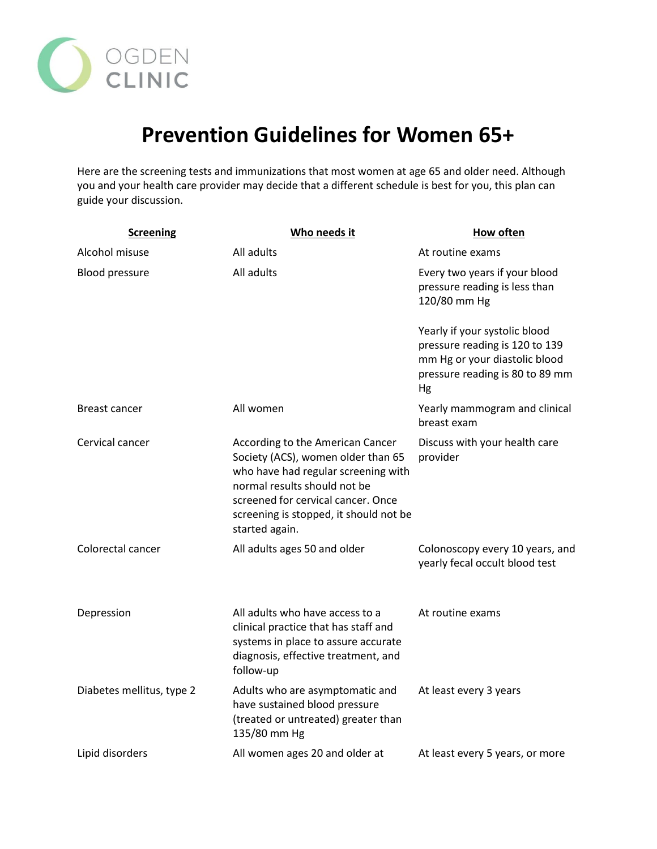

## **Prevention Guidelines for Women 65+**

Here are the screening tests and immunizations that most women at age 65 and older need. Although you and your health care provider may decide that a different schedule is best for you, this plan can guide your discussion.

| <b>Screening</b>          | Who needs it                                                                                                                                                                                                                                    | <b>How often</b>                                                                                                                          |
|---------------------------|-------------------------------------------------------------------------------------------------------------------------------------------------------------------------------------------------------------------------------------------------|-------------------------------------------------------------------------------------------------------------------------------------------|
| Alcohol misuse            | All adults                                                                                                                                                                                                                                      | At routine exams                                                                                                                          |
| <b>Blood pressure</b>     | All adults                                                                                                                                                                                                                                      | Every two years if your blood<br>pressure reading is less than<br>120/80 mm Hg                                                            |
|                           |                                                                                                                                                                                                                                                 | Yearly if your systolic blood<br>pressure reading is 120 to 139<br>mm Hg or your diastolic blood<br>pressure reading is 80 to 89 mm<br>Hg |
| Breast cancer             | All women                                                                                                                                                                                                                                       | Yearly mammogram and clinical<br>breast exam                                                                                              |
| Cervical cancer           | According to the American Cancer<br>Society (ACS), women older than 65<br>who have had regular screening with<br>normal results should not be<br>screened for cervical cancer. Once<br>screening is stopped, it should not be<br>started again. | Discuss with your health care<br>provider                                                                                                 |
| Colorectal cancer         | All adults ages 50 and older                                                                                                                                                                                                                    | Colonoscopy every 10 years, and<br>yearly fecal occult blood test                                                                         |
| Depression                | All adults who have access to a<br>clinical practice that has staff and<br>systems in place to assure accurate<br>diagnosis, effective treatment, and<br>follow-up                                                                              | At routine exams                                                                                                                          |
| Diabetes mellitus, type 2 | Adults who are asymptomatic and<br>have sustained blood pressure<br>(treated or untreated) greater than<br>135/80 mm Hg                                                                                                                         | At least every 3 years                                                                                                                    |
| Lipid disorders           | All women ages 20 and older at                                                                                                                                                                                                                  | At least every 5 years, or more                                                                                                           |